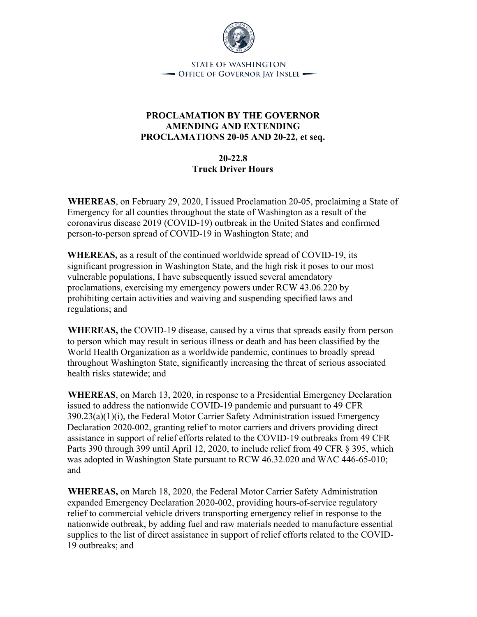

**STATE OF WASHINGTON**  $\overline{\phantom{a}}$  Office of Governor Iay Inslee  $\overline{\phantom{a}}$ 

## **PROCLAMATION BY THE GOVERNOR AMENDING AND EXTENDING PROCLAMATIONS 20-05 AND 20-22, et seq.**

## **20-22.8 Truck Driver Hours**

**WHEREAS**, on February 29, 2020, I issued Proclamation 20-05, proclaiming a State of Emergency for all counties throughout the state of Washington as a result of the coronavirus disease 2019 (COVID-19) outbreak in the United States and confirmed person-to-person spread of COVID-19 in Washington State; and

**WHEREAS,** as a result of the continued worldwide spread of COVID-19, its significant progression in Washington State, and the high risk it poses to our most vulnerable populations, I have subsequently issued several amendatory proclamations, exercising my emergency powers under RCW 43.06.220 by prohibiting certain activities and waiving and suspending specified laws and regulations; and

**WHEREAS,** the COVID-19 disease, caused by a virus that spreads easily from person to person which may result in serious illness or death and has been classified by the World Health Organization as a worldwide pandemic, continues to broadly spread throughout Washington State, significantly increasing the threat of serious associated health risks statewide; and

**WHEREAS**, on March 13, 2020, in response to a Presidential Emergency Declaration issued to address the nationwide COVID-19 pandemic and pursuant to 49 CFR 390.23(a)(1)(i), the Federal Motor Carrier Safety Administration issued Emergency Declaration 2020-002, granting relief to motor carriers and drivers providing direct assistance in support of relief efforts related to the COVID-19 outbreaks from 49 CFR Parts 390 through 399 until April 12, 2020, to include relief from 49 CFR § 395, which was adopted in Washington State pursuant to RCW 46.32.020 and WAC 446-65-010; and

**WHEREAS,** on March 18, 2020, the Federal Motor Carrier Safety Administration expanded Emergency Declaration 2020-002, providing hours-of-service regulatory relief to commercial vehicle drivers transporting emergency relief in response to the nationwide outbreak, by adding fuel and raw materials needed to manufacture essential supplies to the list of direct assistance in support of relief efforts related to the COVID-19 outbreaks; and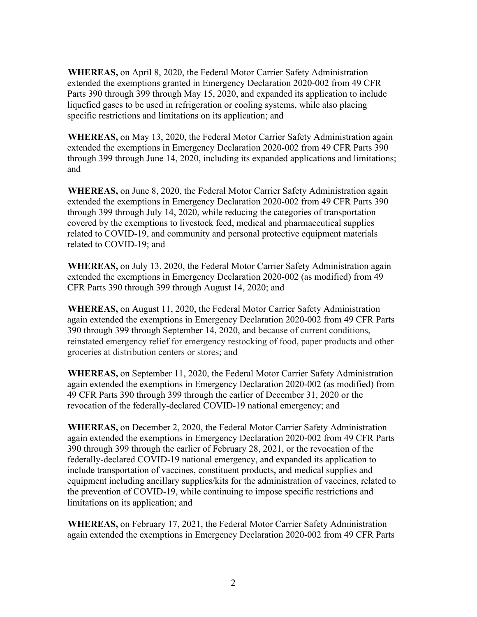**WHEREAS,** on April 8, 2020, the Federal Motor Carrier Safety Administration extended the exemptions granted in Emergency Declaration 2020-002 from 49 CFR Parts 390 through 399 through May 15, 2020, and expanded its application to include liquefied gases to be used in refrigeration or cooling systems, while also placing specific restrictions and limitations on its application; and

**WHEREAS,** on May 13, 2020, the Federal Motor Carrier Safety Administration again extended the exemptions in Emergency Declaration 2020-002 from 49 CFR Parts 390 through 399 through June 14, 2020, including its expanded applications and limitations; and

**WHEREAS,** on June 8, 2020, the Federal Motor Carrier Safety Administration again extended the exemptions in Emergency Declaration 2020-002 from 49 CFR Parts 390 through 399 through July 14, 2020, while reducing the categories of transportation covered by the exemptions to livestock feed, medical and pharmaceutical supplies related to COVID-19, and community and personal protective equipment materials related to COVID-19; and

**WHEREAS,** on July 13, 2020, the Federal Motor Carrier Safety Administration again extended the exemptions in Emergency Declaration 2020-002 (as modified) from 49 CFR Parts 390 through 399 through August 14, 2020; and

**WHEREAS,** on August 11, 2020, the Federal Motor Carrier Safety Administration again extended the exemptions in Emergency Declaration 2020-002 from 49 CFR Parts 390 through 399 through September 14, 2020, and because of current conditions, reinstated emergency relief for emergency restocking of food, paper products and other groceries at distribution centers or stores; and

**WHEREAS,** on September 11, 2020, the Federal Motor Carrier Safety Administration again extended the exemptions in Emergency Declaration 2020-002 (as modified) from 49 CFR Parts 390 through 399 through the earlier of December 31, 2020 or the revocation of the federally-declared COVID-19 national emergency; and

**WHEREAS,** on December 2, 2020, the Federal Motor Carrier Safety Administration again extended the exemptions in Emergency Declaration 2020-002 from 49 CFR Parts 390 through 399 through the earlier of February 28, 2021, or the revocation of the federally-declared COVID-19 national emergency, and expanded its application to include transportation of vaccines, constituent products, and medical supplies and equipment including ancillary supplies/kits for the administration of vaccines, related to the prevention of COVID-19, while continuing to impose specific restrictions and limitations on its application; and

**WHEREAS,** on February 17, 2021, the Federal Motor Carrier Safety Administration again extended the exemptions in Emergency Declaration 2020-002 from 49 CFR Parts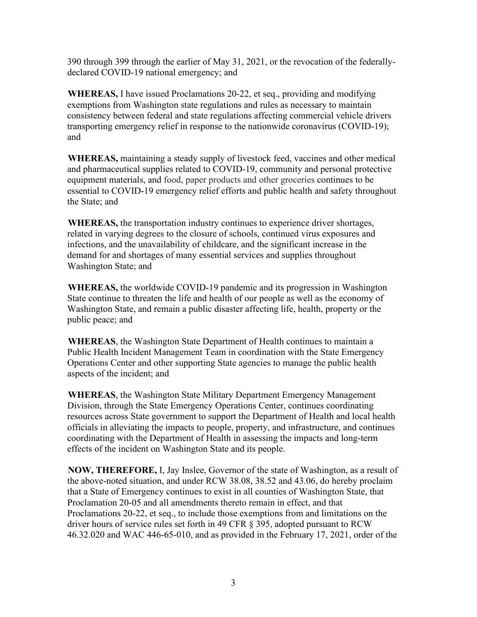390 through 399 through the earlier of May 31, 2021, or the revocation of the federallydeclared COVID-19 national emergency; and

**WHEREAS,** I have issued Proclamations 20-22, et seq., providing and modifying exemptions from Washington state regulations and rules as necessary to maintain consistency between federal and state regulations affecting commercial vehicle drivers transporting emergency relief in response to the nationwide coronavirus (COVID-19); and

**WHEREAS,** maintaining a steady supply of livestock feed, vaccines and other medical and pharmaceutical supplies related to COVID-19, community and personal protective equipment materials, and food, paper products and other groceries continues to be essential to COVID-19 emergency relief efforts and public health and safety throughout the State; and

**WHEREAS,** the transportation industry continues to experience driver shortages, related in varying degrees to the closure of schools, continued virus exposures and infections, and the unavailability of childcare, and the significant increase in the demand for and shortages of many essential services and supplies throughout Washington State; and

**WHEREAS,** the worldwide COVID-19 pandemic and its progression in Washington State continue to threaten the life and health of our people as well as the economy of Washington State, and remain a public disaster affecting life, health, property or the public peace; and

**WHEREAS**, the Washington State Department of Health continues to maintain a Public Health Incident Management Team in coordination with the State Emergency Operations Center and other supporting State agencies to manage the public health aspects of the incident; and

**WHEREAS**, the Washington State Military Department Emergency Management Division, through the State Emergency Operations Center, continues coordinating resources across State government to support the Department of Health and local health officials in alleviating the impacts to people, property, and infrastructure, and continues coordinating with the Department of Health in assessing the impacts and long-term effects of the incident on Washington State and its people.

**NOW, THEREFORE,** I, Jay Inslee, Governor of the state of Washington, as a result of the above-noted situation, and under RCW 38.08, 38.52 and 43.06, do hereby proclaim that a State of Emergency continues to exist in all counties of Washington State, that Proclamation 20-05 and all amendments thereto remain in effect, and that Proclamations 20-22, et seq., to include those exemptions from and limitations on the driver hours of service rules set forth in 49 CFR § 395, adopted pursuant to RCW 46.32.020 and WAC 446-65-010, and as provided in the February 17, 2021, order of the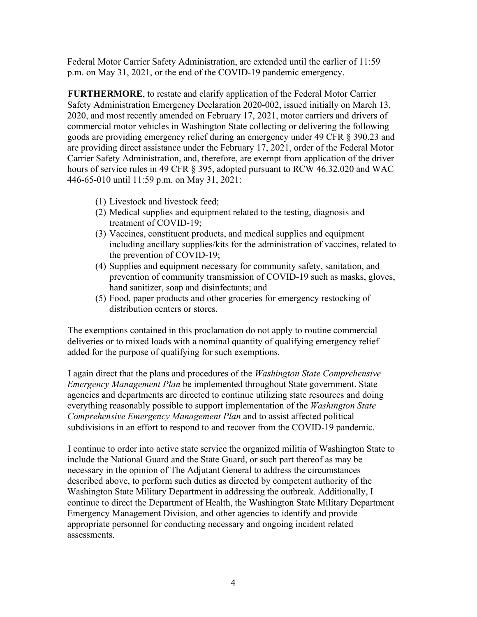Federal Motor Carrier Safety Administration, are extended until the earlier of 11:59 p.m. on May 31, 2021, or the end of the COVID-19 pandemic emergency.

**FURTHERMORE**, to restate and clarify application of the Federal Motor Carrier Safety Administration Emergency Declaration 2020-002, issued initially on March 13, 2020, and most recently amended on February 17, 2021, motor carriers and drivers of commercial motor vehicles in Washington State collecting or delivering the following goods are providing emergency relief during an emergency under 49 CFR § 390.23 and are providing direct assistance under the February 17, 2021, order of the Federal Motor Carrier Safety Administration, and, therefore, are exempt from application of the driver hours of service rules in 49 CFR § 395, adopted pursuant to RCW 46.32.020 and WAC 446-65-010 until 11:59 p.m. on May 31, 2021:

- (1) Livestock and livestock feed;
- (2) Medical supplies and equipment related to the testing, diagnosis and treatment of COVID-19;
- (3) Vaccines, constituent products, and medical supplies and equipment including ancillary supplies/kits for the administration of vaccines, related to the prevention of COVID-19;
- (4) Supplies and equipment necessary for community safety, sanitation, and prevention of community transmission of COVID-19 such as masks, gloves, hand sanitizer, soap and disinfectants; and
- (5) Food, paper products and other groceries for emergency restocking of distribution centers or stores.

The exemptions contained in this proclamation do not apply to routine commercial deliveries or to mixed loads with a nominal quantity of qualifying emergency relief added for the purpose of qualifying for such exemptions.

I again direct that the plans and procedures of the *Washington State Comprehensive Emergency Management Plan* be implemented throughout State government. State agencies and departments are directed to continue utilizing state resources and doing everything reasonably possible to support implementation of the *Washington State Comprehensive Emergency Management Plan* and to assist affected political subdivisions in an effort to respond to and recover from the COVID-19 pandemic.

I continue to order into active state service the organized militia of Washington State to include the National Guard and the State Guard, or such part thereof as may be necessary in the opinion of The Adjutant General to address the circumstances described above, to perform such duties as directed by competent authority of the Washington State Military Department in addressing the outbreak. Additionally, I continue to direct the Department of Health, the Washington State Military Department Emergency Management Division, and other agencies to identify and provide appropriate personnel for conducting necessary and ongoing incident related assessments.